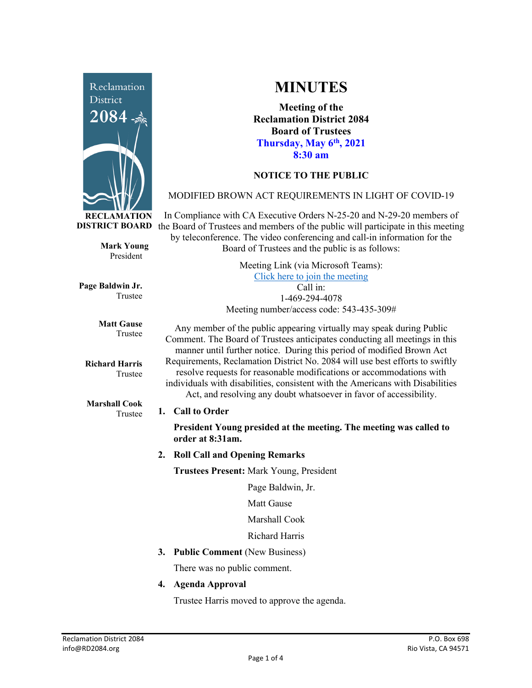

**Mark Young** President

Trustee

Trustee

Trustee

**Matt Gause** Trustee

**Richard Harris**

**Marshall Cook**

**Page Baldwin Jr.**

**MINUTES**

**Meeting of the Reclamation District 2084 Board of Trustees Thursday, May 6th, 2021 8:30 am**

# **NOTICE TO THE PUBLIC**

## MODIFIED BROWN ACT REQUIREMENTS IN LIGHT OF COVID-19

**DISTRICT BOARD** the Board of Trustees and members of the public will participate in this meeting In Compliance with CA Executive Orders N-25-20 and N-29-20 members of by teleconference. The video conferencing and call-in information for the Board of Trustees and the public is as follows:

> Meeting Link (via Microsoft Teams): [Click here to join the meeting](https://teams.microsoft.com/l/meetup-join/19%3ameeting_Y2UyNWRiYzQtYWY2Mi00MTlhLWI0NDQtMjUzYzk0OWU0NGFi%40thread.v2/0?context=%7b%22Tid%22%3a%22f9038203-c87c-4f0e-b326-970a381acd40%22%2c%22Oid%22%3a%22b6a515a8-4d0a-410e-b81a-1dc60ae8c01d%22%7d) Call in: 1-469-294-4078 Meeting number/access code: 543-435-309#

Any member of the public appearing virtually may speak during Public Comment. The Board of Trustees anticipates conducting all meetings in this manner until further notice. During this period of modified Brown Act Requirements, Reclamation District No. 2084 will use best efforts to swiftly resolve requests for reasonable modifications or accommodations with individuals with disabilities, consistent with the Americans with Disabilities Act, and resolving any doubt whatsoever in favor of accessibility.

#### **1. Call to Order**

**President Young presided at the meeting. The meeting was called to order at 8:31am.** 

**2. Roll Call and Opening Remarks**

**Trustees Present:** Mark Young, President

Page Baldwin, Jr.

Matt Gause

Marshall Cook

Richard Harris

**3. Public Comment** (New Business)

There was no public comment.

**4. Agenda Approval**

Trustee Harris moved to approve the agenda.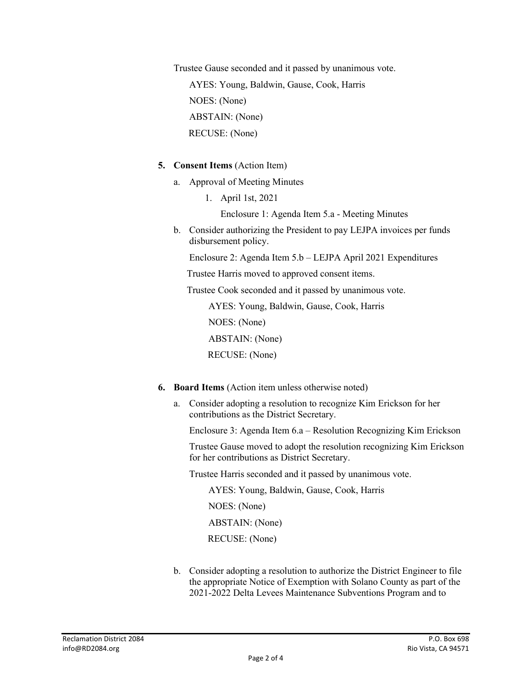Trustee Gause seconded and it passed by unanimous vote. AYES: Young, Baldwin, Gause, Cook, Harris NOES: (None) ABSTAIN: (None) RECUSE: (None)

### **5. Consent Items** (Action Item)

- a. Approval of Meeting Minutes
	- 1. April 1st, 2021

Enclosure 1: Agenda Item 5.a - Meeting Minutes

b. Consider authorizing the President to pay LEJPA invoices per funds disbursement policy.

Enclosure 2: Agenda Item 5.b – LEJPA April 2021 Expenditures

Trustee Harris moved to approved consent items.

Trustee Cook seconded and it passed by unanimous vote.

AYES: Young, Baldwin, Gause, Cook, Harris

NOES: (None)

ABSTAIN: (None)

RECUSE: (None)

- **6. Board Items** (Action item unless otherwise noted)
	- a. Consider adopting a resolution to recognize Kim Erickson for her contributions as the District Secretary.

Enclosure 3: Agenda Item 6.a – Resolution Recognizing Kim Erickson

Trustee Gause moved to adopt the resolution recognizing Kim Erickson for her contributions as District Secretary.

Trustee Harris seconded and it passed by unanimous vote.

 AYES: Young, Baldwin, Gause, Cook, Harris NOES: (None) ABSTAIN: (None) RECUSE: (None)

b. Consider adopting a resolution to authorize the District Engineer to file the appropriate Notice of Exemption with Solano County as part of the 2021-2022 Delta Levees Maintenance Subventions Program and to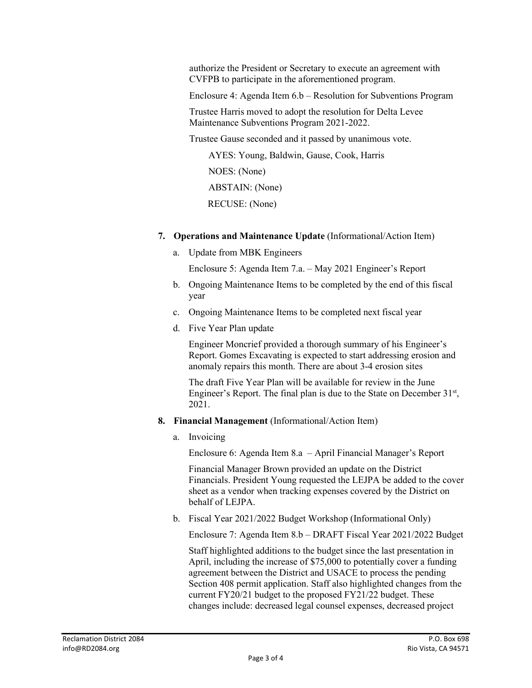authorize the President or Secretary to execute an agreement with CVFPB to participate in the aforementioned program.

Enclosure 4: Agenda Item 6.b – Resolution for Subventions Program

Trustee Harris moved to adopt the resolution for Delta Levee Maintenance Subventions Program 2021-2022.

Trustee Gause seconded and it passed by unanimous vote.

 AYES: Young, Baldwin, Gause, Cook, Harris NOES: (None) ABSTAIN: (None) RECUSE: (None)

- **7. Operations and Maintenance Update** (Informational/Action Item)
	- a. Update from MBK Engineers

Enclosure 5: Agenda Item 7.a. – May 2021 Engineer's Report

- b. Ongoing Maintenance Items to be completed by the end of this fiscal year
- c. Ongoing Maintenance Items to be completed next fiscal year
- d. Five Year Plan update

Engineer Moncrief provided a thorough summary of his Engineer's Report. Gomes Excavating is expected to start addressing erosion and anomaly repairs this month. There are about 3-4 erosion sites

The draft Five Year Plan will be available for review in the June Engineer's Report. The final plan is due to the State on December  $31<sup>st</sup>$ , 2021.

- **8. Financial Management** (Informational/Action Item)
	- a. Invoicing

Enclosure 6: Agenda Item 8.a – April Financial Manager's Report

Financial Manager Brown provided an update on the District Financials. President Young requested the LEJPA be added to the cover sheet as a vendor when tracking expenses covered by the District on behalf of LEJPA.

b. Fiscal Year 2021/2022 Budget Workshop (Informational Only)

Enclosure 7: Agenda Item 8.b – DRAFT Fiscal Year 2021/2022 Budget

Staff highlighted additions to the budget since the last presentation in April, including the increase of \$75,000 to potentially cover a funding agreement between the District and USACE to process the pending Section 408 permit application. Staff also highlighted changes from the current FY20/21 budget to the proposed FY21/22 budget. These changes include: decreased legal counsel expenses, decreased project